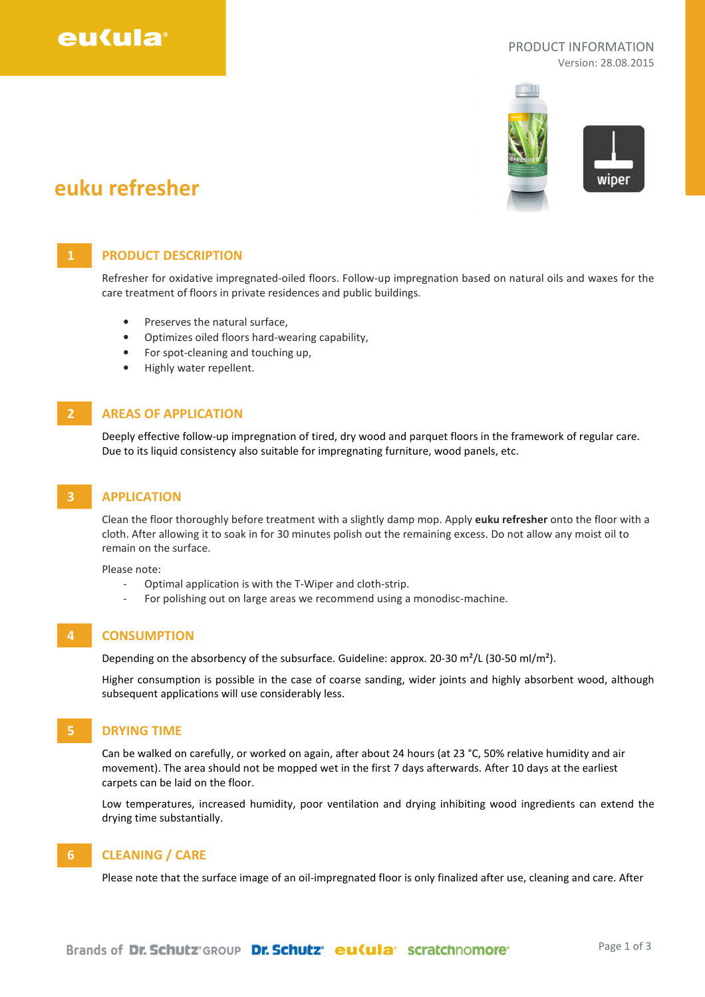

#### PRODUCT INFORMATION Version: 28.08.2015



# euku refresher

## 1 **PRODUCT DESCRIPTION**

Refresher for oxidative impregnated-oiled floors. Follow-up impregnation based on natural oils and waxes for the care treatment of floors in private residences and public buildings.

- Preserves the natural surface.
- Optimizes oiled floors hard-wearing capability,
- For spot-cleaning and touching up,
- Highly water repellent.

## **AREAS OF APPLICATION**

Deeply effective follow-up impregnation of tired, dry wood and parquet floors in the framework of regular care. Due to its liquid consistency also suitable for impregnating furniture, wood panels, etc.

## 3 APPLICATION

Clean the floor thoroughly before treatment with a slightly damp mop. Apply euku refresher onto the floor with a cloth. After allowing it to soak in for 30 minutes polish out the remaining excess. Do not allow any moist oil to remain on the surface.

Please note:

- Optimal application is with the T-Wiper and cloth-strip.
- For polishing out on large areas we recommend using a monodisc-machine.

### 4 CONSUMPTION

Depending on the absorbency of the subsurface. Guideline: approx. 20-30 m²/L (30-50 ml/m²).

Higher consumption is possible in the case of coarse sanding, wider joints and highly absorbent wood, although subsequent applications will use considerably less.

### 5 DRYING TIME

Can be walked on carefully, or worked on again, after about 24 hours (at 23 °C, 50% relative humidity and air movement). The area should not be mopped wet in the first 7 days afterwards. After 10 days at the earliest carpets can be laid on the floor.

Low temperatures, increased humidity, poor ventilation and drying inhibiting wood ingredients can extend the drying time substantially.

## 6 CLEANING / CARE

Please note that the surface image of an oil-impregnated floor is only finalized after use, cleaning and care. After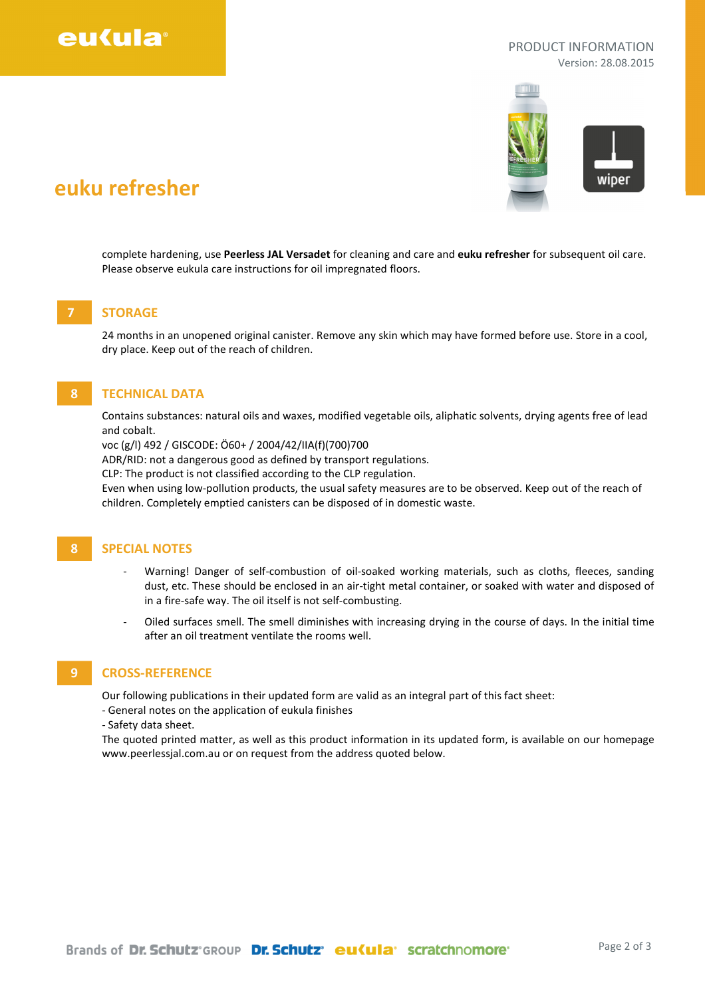

#### PRODUCT INFORMATION Version: 28.08.2015



# euku refresher

complete hardening, use Peerless JAL Versadet for cleaning and care and euku refresher for subsequent oil care. Please observe eukula care instructions for oil impregnated floors.

# **STORAGE**

24 months in an unopened original canister. Remove any skin which may have formed before use. Store in a cool, dry place. Keep out of the reach of children.

## 8 TECHNICAL DATA

Contains substances: natural oils and waxes, modified vegetable oils, aliphatic solvents, drying agents free of lead and cobalt.

voc (g/l) 492 / GISCODE: Ö60+ / 2004/42/IIA(f)(700)700

ADR/RID: not a dangerous good as defined by transport regulations.

CLP: The product is not classified according to the CLP regulation.

Even when using low-pollution products, the usual safety measures are to be observed. Keep out of the reach of children. Completely emptied canisters can be disposed of in domestic waste.

### 8 SPECIAL NOTES

- Warning! Danger of self-combustion of oil-soaked working materials, such as cloths, fleeces, sanding dust, etc. These should be enclosed in an air-tight metal container, or soaked with water and disposed of in a fire-safe way. The oil itself is not self-combusting.
- Oiled surfaces smell. The smell diminishes with increasing drying in the course of days. In the initial time after an oil treatment ventilate the rooms well.

## 9 CROSS-REFERENCE

Our following publications in their updated form are valid as an integral part of this fact sheet:

- General notes on the application of eukula finishes

- Safety data sheet.

The quoted printed matter, as well as this product information in its updated form, is available on our homepage www.peerlessjal.com.au or on request from the address quoted below.